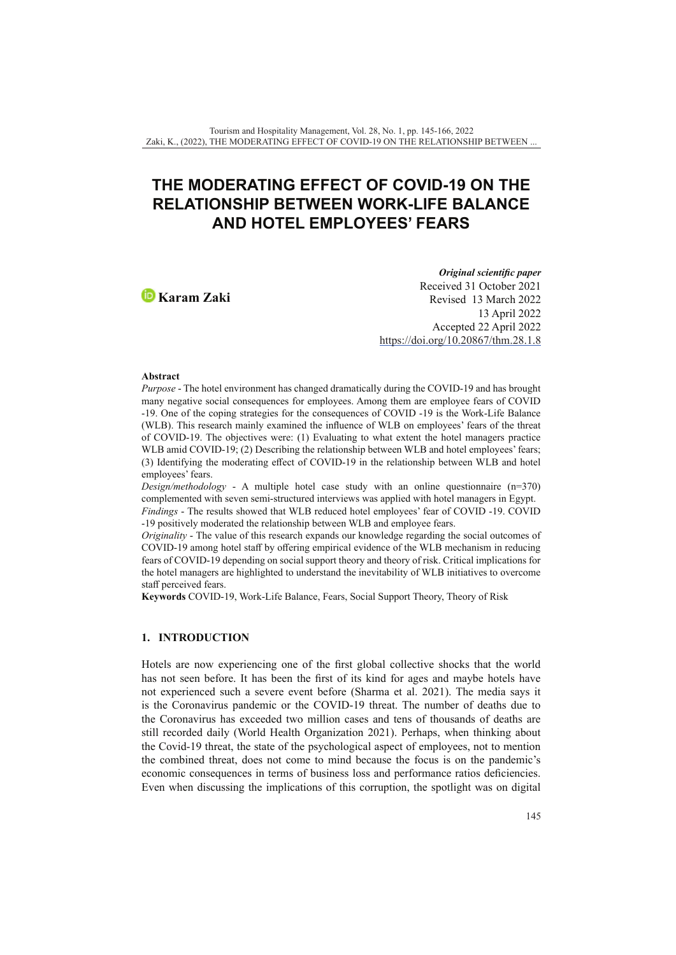# **THE MODERATING EFFECT OF COVID-19 ON THE RELATIONSHIP BETWEEN WORK-LIFE BALANCE AND HOTEL EMPLOYEES' FEARS**

**Karam Zaki**

*Original scientific paper* Received 31 October 2021 Revised 13 March 2022 13 April 2022 Accepted 22 April 2022 <https://doi.org/10.20867/thm.28.1.8>

#### **Abstract**

*Purpose* - The hotel environment has changed dramatically during the COVID-19 and has brought many negative social consequences for employees. Among them are employee fears of COVID -19. One of the coping strategies for the consequences of COVID -19 is the Work-Life Balance (WLB). This research mainly examined the influence of WLB on employees' fears of the threat of COVID-19. The objectives were: (1) Evaluating to what extent the hotel managers practice WLB amid COVID-19; (2) Describing the relationship between WLB and hotel employees' fears; (3) Identifying the moderating effect of COVID-19 in the relationship between WLB and hotel employees' fears.

*Design/methodology* - A multiple hotel case study with an online questionnaire  $(n=370)$ complemented with seven semi-structured interviews was applied with hotel managers in Egypt. *Findings* - The results showed that WLB reduced hotel employees' fear of COVID -19. COVID -19 positively moderated the relationship between WLB and employee fears.

*Originality* - The value of this research expands our knowledge regarding the social outcomes of COVID-19 among hotel staff by offering empirical evidence of the WLB mechanism in reducing fears of COVID-19 depending on social support theory and theory of risk. Critical implications for the hotel managers are highlighted to understand the inevitability of WLB initiatives to overcome staff perceived fears.

**Keywords** COVID-19, Work-Life Balance, Fears, Social Support Theory, Theory of Risk

# **1. INTRODUCTION**

Hotels are now experiencing one of the first global collective shocks that the world has not seen before. It has been the first of its kind for ages and maybe hotels have not experienced such a severe event before (Sharma et al. 2021). The media says it is the Coronavirus pandemic or the COVID-19 threat. The number of deaths due to the Coronavirus has exceeded two million cases and tens of thousands of deaths are still recorded daily (World Health Organization 2021). Perhaps, when thinking about the Covid-19 threat, the state of the psychological aspect of employees, not to mention the combined threat, does not come to mind because the focus is on the pandemic's economic consequences in terms of business loss and performance ratios deficiencies. Even when discussing the implications of this corruption, the spotlight was on digital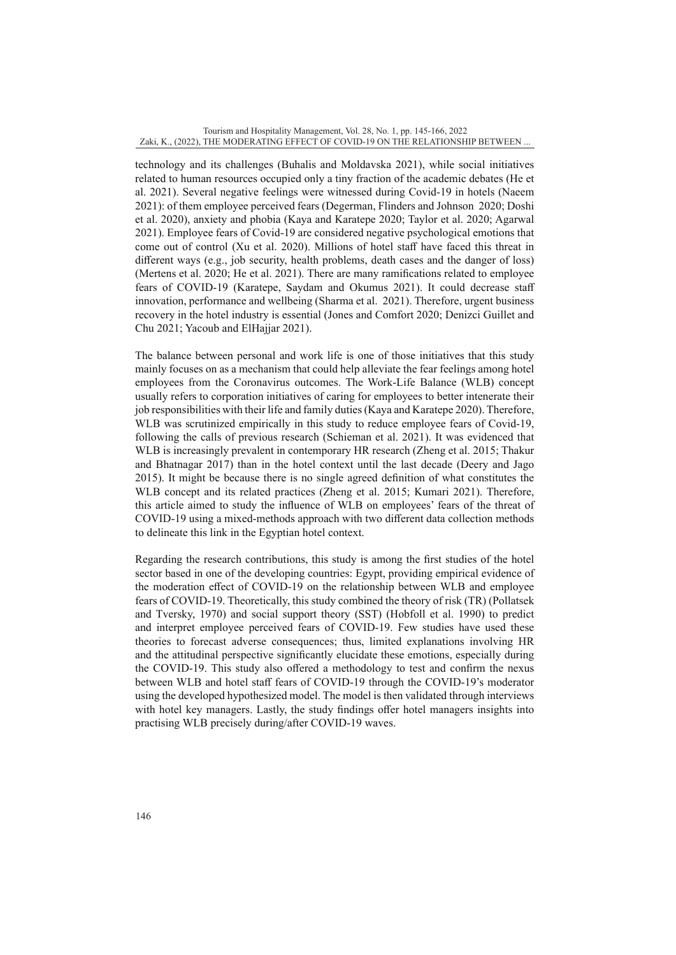technology and its challenges (Buhalis and Moldavska 2021), while social initiatives related to human resources occupied only a tiny fraction of the academic debates (He et al. 2021). Several negative feelings were witnessed during Covid-19 in hotels (Naeem 2021): of them employee perceived fears (Degerman, Flinders and Johnson 2020; Doshi et al. 2020), anxiety and phobia (Kaya and Karatepe 2020; Taylor et al. 2020; Agarwal 2021). Employee fears of Covid-19 are considered negative psychological emotions that come out of control (Xu et al. 2020). Millions of hotel staff have faced this threat in different ways (e.g., job security, health problems, death cases and the danger of loss) (Mertens et al. 2020; He et al. 2021). There are many ramifications related to employee fears of COVID-19 (Karatepe, Saydam and Okumus 2021). It could decrease staff innovation, performance and wellbeing (Sharma et al. 2021). Therefore, urgent business recovery in the hotel industry is essential (Jones and Comfort 2020; Denizci Guillet and Chu 2021; Yacoub and ElHajjar 2021).

The balance between personal and work life is one of those initiatives that this study mainly focuses on as a mechanism that could help alleviate the fear feelings among hotel employees from the Coronavirus outcomes. The Work-Life Balance (WLB) concept usually refers to corporation initiatives of caring for employees to better intenerate their job responsibilities with their life and family duties (Kaya and Karatepe 2020). Therefore, WLB was scrutinized empirically in this study to reduce employee fears of Covid-19, following the calls of previous research (Schieman et al. 2021). It was evidenced that WLB is increasingly prevalent in contemporary HR research (Zheng et al. 2015; Thakur and Bhatnagar 2017) than in the hotel context until the last decade (Deery and Jago 2015). It might be because there is no single agreed definition of what constitutes the WLB concept and its related practices (Zheng et al. 2015; Kumari 2021). Therefore, this article aimed to study the influence of WLB on employees' fears of the threat of COVID-19 using a mixed-methods approach with two different data collection methods to delineate this link in the Egyptian hotel context.

Regarding the research contributions, this study is among the first studies of the hotel sector based in one of the developing countries: Egypt, providing empirical evidence of the moderation effect of COVID-19 on the relationship between WLB and employee fears of COVID-19. Theoretically, this study combined the theory of risk (TR) (Pollatsek and Tversky, 1970) and social support theory (SST) (Hobfoll et al. 1990) to predict and interpret employee perceived fears of COVID-19. Few studies have used these theories to forecast adverse consequences; thus, limited explanations involving HR and the attitudinal perspective significantly elucidate these emotions, especially during the COVID-19. This study also offered a methodology to test and confirm the nexus between WLB and hotel staff fears of COVID-19 through the COVID-19's moderator using the developed hypothesized model. The model is then validated through interviews with hotel key managers. Lastly, the study findings offer hotel managers insights into practising WLB precisely during/after COVID-19 waves.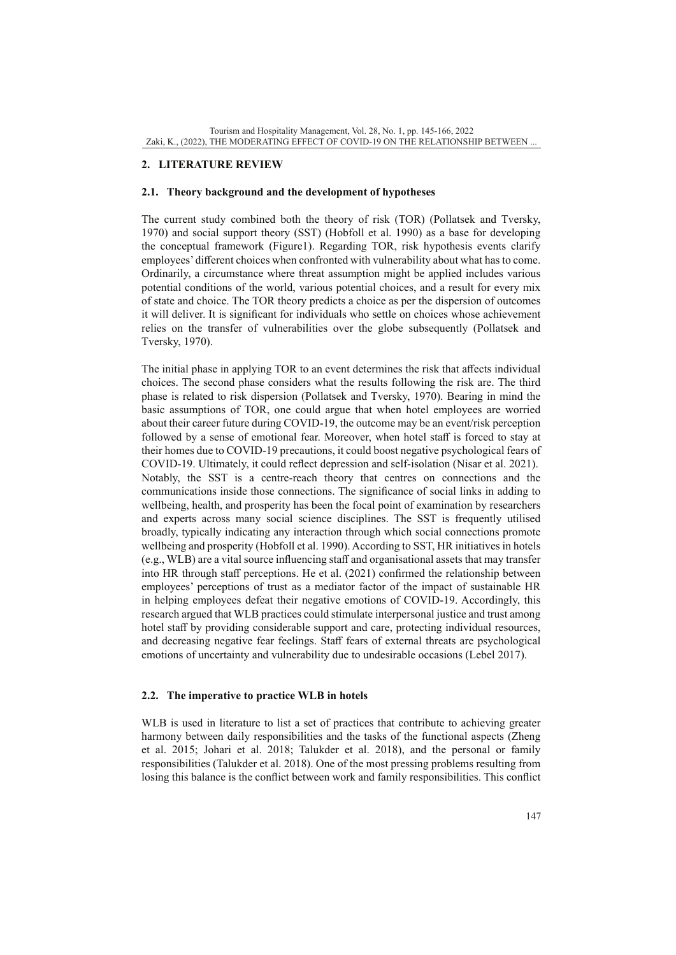# **2. LITERATURE REVIEW**

# **2.1. Theory background and the development of hypotheses**

The current study combined both the theory of risk (TOR) (Pollatsek and Tversky, 1970) and social support theory (SST) (Hobfoll et al. 1990) as a base for developing the conceptual framework (Figure1). Regarding TOR, risk hypothesis events clarify employees' different choices when confronted with vulnerability about what has to come. Ordinarily, a circumstance where threat assumption might be applied includes various potential conditions of the world, various potential choices, and a result for every mix of state and choice. The TOR theory predicts a choice as per the dispersion of outcomes it will deliver. It is significant for individuals who settle on choices whose achievement relies on the transfer of vulnerabilities over the globe subsequently (Pollatsek and Tversky, 1970).

The initial phase in applying TOR to an event determines the risk that affects individual choices. The second phase considers what the results following the risk are. The third phase is related to risk dispersion (Pollatsek and Tversky, 1970). Bearing in mind the basic assumptions of TOR, one could argue that when hotel employees are worried about their career future during COVID-19, the outcome may be an event/risk perception followed by a sense of emotional fear. Moreover, when hotel staff is forced to stay at their homes due to COVID-19 precautions, it could boost negative psychological fears of COVID-19. Ultimately, it could reflect depression and self-isolation (Nisar et al. 2021). Notably, the SST is a centre-reach theory that centres on connections and the communications inside those connections. The significance of social links in adding to wellbeing, health, and prosperity has been the focal point of examination by researchers and experts across many social science disciplines. The SST is frequently utilised broadly, typically indicating any interaction through which social connections promote wellbeing and prosperity (Hobfoll et al. 1990). According to SST, HR initiatives in hotels (e.g., WLB) are a vital source influencing staff and organisational assets that may transfer into HR through staff perceptions. He et al. (2021) confirmed the relationship between employees' perceptions of trust as a mediator factor of the impact of sustainable HR in helping employees defeat their negative emotions of COVID-19. Accordingly, this research argued that WLB practices could stimulate interpersonal justice and trust among hotel staff by providing considerable support and care, protecting individual resources, and decreasing negative fear feelings. Staff fears of external threats are psychological emotions of uncertainty and vulnerability due to undesirable occasions (Lebel 2017).

# **2.2. The imperative to practice WLB in hotels**

WLB is used in literature to list a set of practices that contribute to achieving greater harmony between daily responsibilities and the tasks of the functional aspects (Zheng et al. 2015; Johari et al. 2018; Talukder et al. 2018), and the personal or family responsibilities (Talukder et al. 2018). One of the most pressing problems resulting from losing this balance is the conflict between work and family responsibilities. This conflict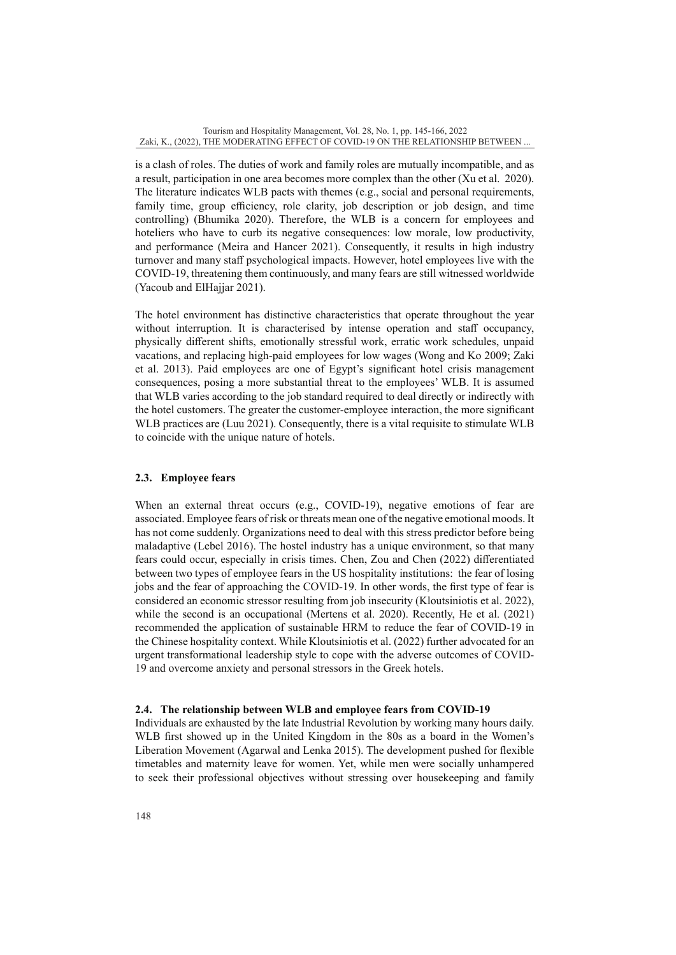is a clash of roles. The duties of work and family roles are mutually incompatible, and as a result, participation in one area becomes more complex than the other (Xu et al. 2020). The literature indicates WLB pacts with themes (e.g., social and personal requirements, family time, group efficiency, role clarity, job description or job design, and time controlling) (Bhumika 2020). Therefore, the WLB is a concern for employees and hoteliers who have to curb its negative consequences: low morale, low productivity, and performance (Meira and Hancer 2021). Consequently, it results in high industry turnover and many staff psychological impacts. However, hotel employees live with the COVID-19, threatening them continuously, and many fears are still witnessed worldwide (Yacoub and ElHajjar 2021).

The hotel environment has distinctive characteristics that operate throughout the year without interruption. It is characterised by intense operation and staff occupancy, physically different shifts, emotionally stressful work, erratic work schedules, unpaid vacations, and replacing high-paid employees for low wages (Wong and Ko 2009; Zaki et al. 2013). Paid employees are one of Egypt's significant hotel crisis management consequences, posing a more substantial threat to the employees' WLB. It is assumed that WLB varies according to the job standard required to deal directly or indirectly with the hotel customers. The greater the customer-employee interaction, the more significant WLB practices are (Luu 2021). Consequently, there is a vital requisite to stimulate WLB to coincide with the unique nature of hotels.

# **2.3. Employee fears**

When an external threat occurs (e.g., COVID-19), negative emotions of fear are associated. Employee fears of risk or threats mean one of the negative emotional moods. It has not come suddenly. Organizations need to deal with this stress predictor before being maladaptive (Lebel 2016). The hostel industry has a unique environment, so that many fears could occur, especially in crisis times. Chen, Zou and Chen (2022) differentiated between two types of employee fears in the US hospitality institutions: the fear of losing jobs and the fear of approaching the COVID-19. In other words, the first type of fear is considered an economic stressor resulting from job insecurity (Kloutsiniotis et al. 2022), while the second is an occupational (Mertens et al. 2020). Recently, He et al. (2021) recommended the application of sustainable HRM to reduce the fear of COVID-19 in the Chinese hospitality context. While Kloutsiniotis et al. (2022) further advocated for an urgent transformational leadership style to cope with the adverse outcomes of COVID-19 and overcome anxiety and personal stressors in the Greek hotels.

# **2.4. The relationship between WLB and employee fears from COVID-19**

Individuals are exhausted by the late Industrial Revolution by working many hours daily. WLB first showed up in the United Kingdom in the 80s as a board in the Women's Liberation Movement (Agarwal and Lenka 2015). The development pushed for flexible timetables and maternity leave for women. Yet, while men were socially unhampered to seek their professional objectives without stressing over housekeeping and family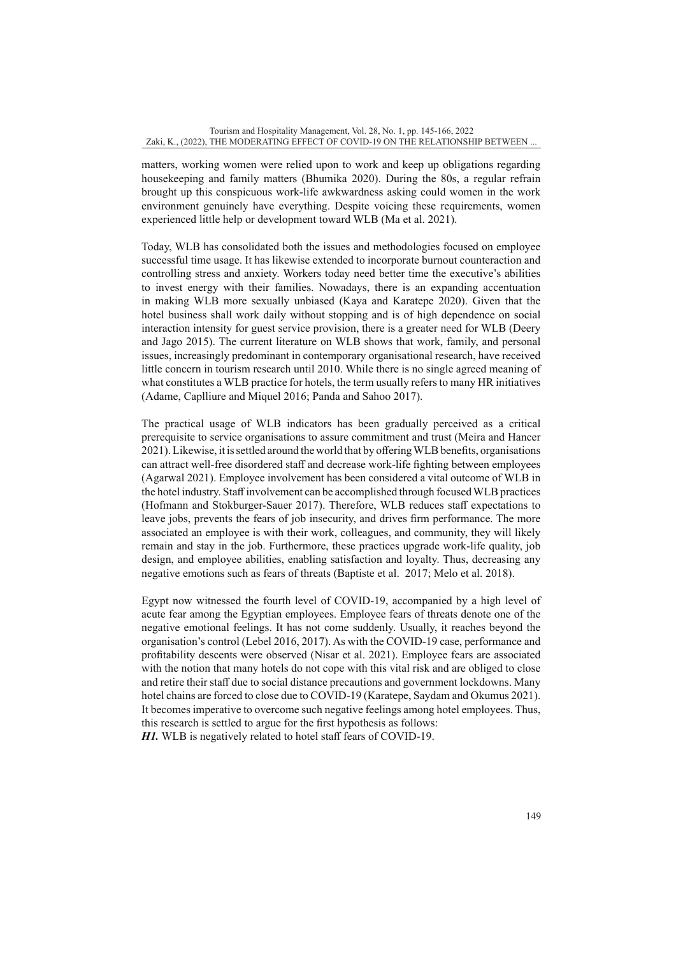matters, working women were relied upon to work and keep up obligations regarding housekeeping and family matters (Bhumika 2020). During the 80s, a regular refrain brought up this conspicuous work-life awkwardness asking could women in the work environment genuinely have everything. Despite voicing these requirements, women experienced little help or development toward WLB (Ma et al. 2021).

Today, WLB has consolidated both the issues and methodologies focused on employee successful time usage. It has likewise extended to incorporate burnout counteraction and controlling stress and anxiety. Workers today need better time the executive's abilities to invest energy with their families. Nowadays, there is an expanding accentuation in making WLB more sexually unbiased (Kaya and Karatepe 2020). Given that the hotel business shall work daily without stopping and is of high dependence on social interaction intensity for guest service provision, there is a greater need for WLB (Deery and Jago 2015). The current literature on WLB shows that work, family, and personal issues, increasingly predominant in contemporary organisational research, have received little concern in tourism research until 2010. While there is no single agreed meaning of what constitutes a WLB practice for hotels, the term usually refers to many HR initiatives (Adame, Caplliure and Miquel 2016; Panda and Sahoo 2017).

The practical usage of WLB indicators has been gradually perceived as a critical prerequisite to service organisations to assure commitment and trust (Meira and Hancer 2021). Likewise, it is settled around the world that by offering WLB benefits, organisations can attract well-free disordered staff and decrease work-life fighting between employees (Agarwal 2021). Employee involvement has been considered a vital outcome of WLB in the hotel industry. Staff involvement can be accomplished through focused WLB practices (Hofmann and Stokburger-Sauer 2017). Therefore, WLB reduces staff expectations to leave jobs, prevents the fears of job insecurity, and drives firm performance. The more associated an employee is with their work, colleagues, and community, they will likely remain and stay in the job. Furthermore, these practices upgrade work-life quality, job design, and employee abilities, enabling satisfaction and loyalty. Thus, decreasing any negative emotions such as fears of threats (Baptiste et al. 2017; Melo et al. 2018).

Egypt now witnessed the fourth level of COVID-19, accompanied by a high level of acute fear among the Egyptian employees. Employee fears of threats denote one of the negative emotional feelings. It has not come suddenly. Usually, it reaches beyond the organisation's control (Lebel 2016, 2017). As with the COVID-19 case, performance and profitability descents were observed (Nisar et al. 2021). Employee fears are associated with the notion that many hotels do not cope with this vital risk and are obliged to close and retire their staff due to social distance precautions and government lockdowns. Many hotel chains are forced to close due to COVID-19 (Karatepe, Saydam and Okumus 2021). It becomes imperative to overcome such negative feelings among hotel employees. Thus, this research is settled to argue for the first hypothesis as follows:

*H1.* WLB is negatively related to hotel staff fears of COVID-19.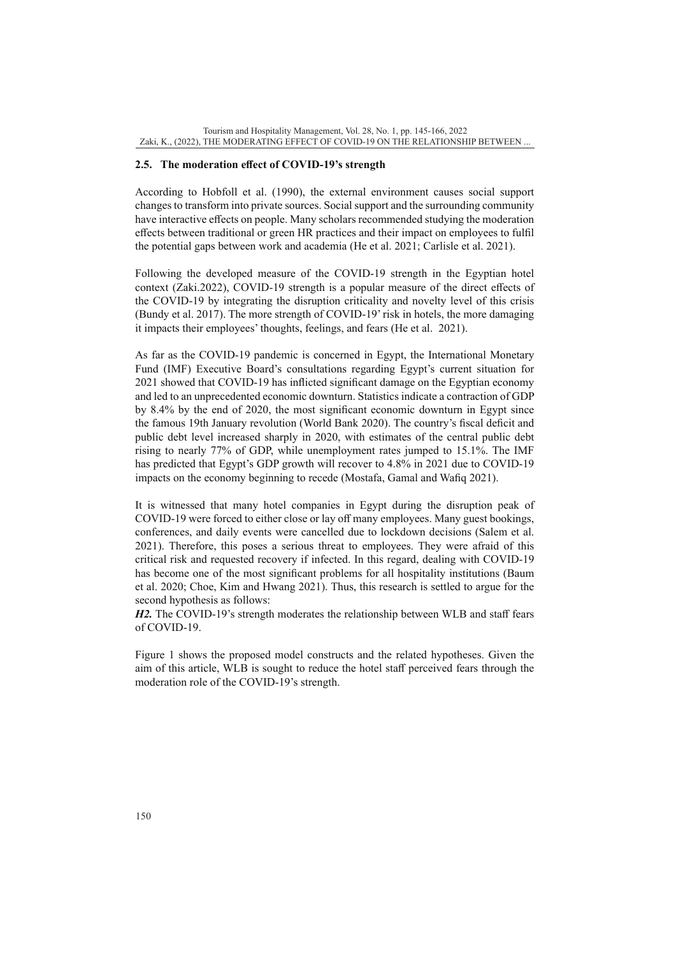# **2.5. The moderation effect of COVID-19's strength**

According to Hobfoll et al. (1990), the external environment causes social support changes to transform into private sources. Social support and the surrounding community have interactive effects on people. Many scholars recommended studying the moderation effects between traditional or green HR practices and their impact on employees to fulfil the potential gaps between work and academia (He et al. 2021; Carlisle et al. 2021).

Following the developed measure of the COVID-19 strength in the Egyptian hotel context (Zaki.2022), COVID-19 strength is a popular measure of the direct effects of the COVID-19 by integrating the disruption criticality and novelty level of this crisis (Bundy et al. 2017). The more strength of COVID-19' risk in hotels, the more damaging it impacts their employees' thoughts, feelings, and fears (He et al. 2021).

As far as the COVID-19 pandemic is concerned in Egypt, the International Monetary Fund (IMF) Executive Board's consultations regarding Egypt's current situation for 2021 showed that COVID-19 has inflicted significant damage on the Egyptian economy and led to an unprecedented economic downturn. Statistics indicate a contraction of GDP by 8.4% by the end of 2020, the most significant economic downturn in Egypt since the famous 19th January revolution (World Bank 2020). The country's fiscal deficit and public debt level increased sharply in 2020, with estimates of the central public debt rising to nearly 77% of GDP, while unemployment rates jumped to 15.1%. The IMF has predicted that Egypt's GDP growth will recover to 4.8% in 2021 due to COVID-19 impacts on the economy beginning to recede (Mostafa, Gamal and Wafiq 2021).

It is witnessed that many hotel companies in Egypt during the disruption peak of COVID-19 were forced to either close or lay off many employees. Many guest bookings, conferences, and daily events were cancelled due to lockdown decisions (Salem et al. 2021). Therefore, this poses a serious threat to employees. They were afraid of this critical risk and requested recovery if infected. In this regard, dealing with COVID-19 has become one of the most significant problems for all hospitality institutions (Baum et al. 2020; Choe, Kim and Hwang 2021). Thus, this research is settled to argue for the second hypothesis as follows:

*H2.* The COVID-19's strength moderates the relationship between WLB and staff fears of COVID-19.

Figure 1 shows the proposed model constructs and the related hypotheses. Given the aim of this article, WLB is sought to reduce the hotel staff perceived fears through the moderation role of the COVID-19's strength.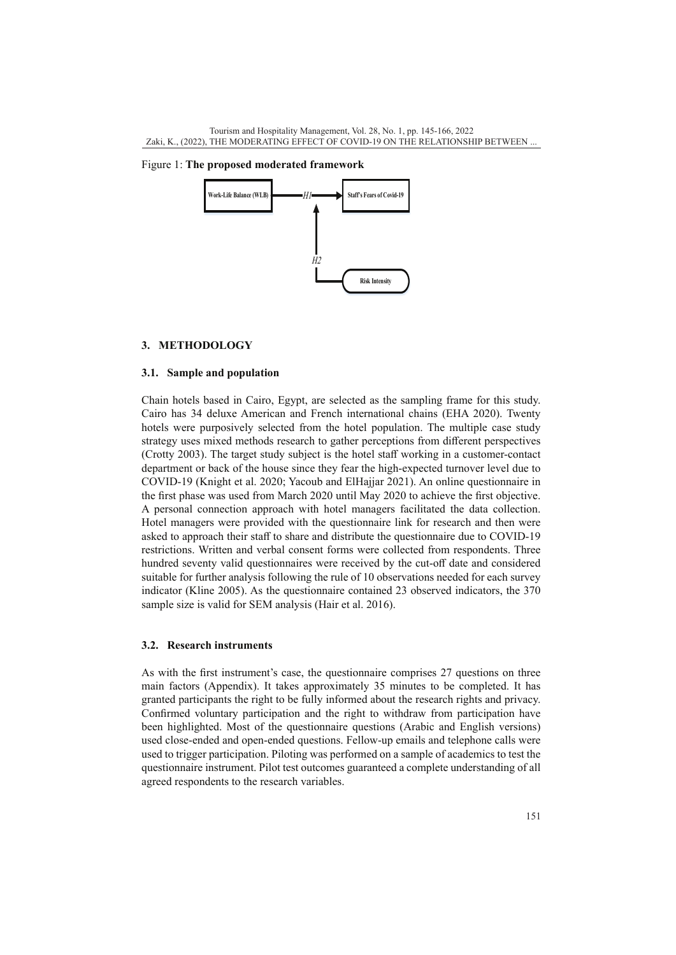Figure 1: **The proposed moderated framework**



#### **3. METHODOLOGY**

## **3.1. Sample and population**

Chain hotels based in Cairo, Egypt, are selected as the sampling frame for this study. Cairo has 34 deluxe American and French international chains (EHA 2020). Twenty hotels were purposively selected from the hotel population. The multiple case study strategy uses mixed methods research to gather perceptions from different perspectives (Crotty 2003). The target study subject is the hotel staff working in a customer-contact department or back of the house since they fear the high-expected turnover level due to COVID-19 (Knight et al. 2020; Yacoub and ElHajjar 2021). An online questionnaire in the first phase was used from March 2020 until May 2020 to achieve the first objective. A personal connection approach with hotel managers facilitated the data collection. Hotel managers were provided with the questionnaire link for research and then were asked to approach their staff to share and distribute the questionnaire due to COVID-19 restrictions. Written and verbal consent forms were collected from respondents. Three hundred seventy valid questionnaires were received by the cut-off date and considered suitable for further analysis following the rule of 10 observations needed for each survey indicator (Kline 2005). As the questionnaire contained 23 observed indicators, the 370 sample size is valid for SEM analysis (Hair et al. 2016).

#### **3.2. Research instruments**

As with the first instrument's case, the questionnaire comprises 27 questions on three main factors (Appendix). It takes approximately 35 minutes to be completed. It has granted participants the right to be fully informed about the research rights and privacy. Confirmed voluntary participation and the right to withdraw from participation have been highlighted. Most of the questionnaire questions (Arabic and English versions) used close-ended and open-ended questions. Fellow-up emails and telephone calls were used to trigger participation. Piloting was performed on a sample of academics to test the questionnaire instrument. Pilot test outcomes guaranteed a complete understanding of all agreed respondents to the research variables.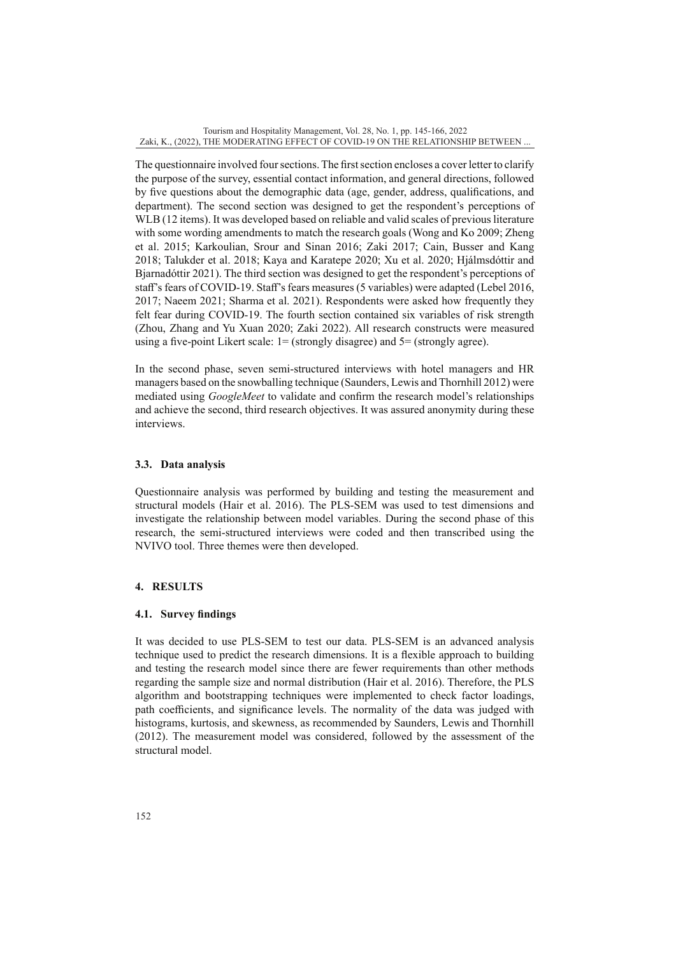The questionnaire involved four sections. The first section encloses a cover letter to clarify the purpose of the survey, essential contact information, and general directions, followed by five questions about the demographic data (age, gender, address, qualifications, and department). The second section was designed to get the respondent's perceptions of WLB (12 items). It was developed based on reliable and valid scales of previous literature with some wording amendments to match the research goals (Wong and Ko 2009; Zheng et al. 2015; Karkoulian, Srour and Sinan 2016; Zaki 2017; Cain, Busser and Kang 2018; Talukder et al. 2018; Kaya and Karatepe 2020; Xu et al. 2020; Hjálmsdóttir and Bjarnadóttir 2021). The third section was designed to get the respondent's perceptions of staff's fears of COVID-19. Staff's fears measures (5 variables) were adapted (Lebel 2016, 2017; Naeem 2021; Sharma et al. 2021). Respondents were asked how frequently they felt fear during COVID-19. The fourth section contained six variables of risk strength (Zhou, Zhang and Yu Xuan 2020; Zaki 2022). All research constructs were measured using a five-point Likert scale:  $1 =$  (strongly disagree) and  $5 =$  (strongly agree).

In the second phase, seven semi-structured interviews with hotel managers and HR managers based on the snowballing technique (Saunders, Lewis and Thornhill 2012) were mediated using *GoogleMeet* to validate and confirm the research model's relationships and achieve the second, third research objectives. It was assured anonymity during these interviews.

# **3.3. Data analysis**

Questionnaire analysis was performed by building and testing the measurement and structural models (Hair et al. 2016). The PLS-SEM was used to test dimensions and investigate the relationship between model variables. During the second phase of this research, the semi-structured interviews were coded and then transcribed using the NVIVO tool. Three themes were then developed.

# **4. RESULTS**

# **4.1. Survey findings**

It was decided to use PLS-SEM to test our data. PLS-SEM is an advanced analysis technique used to predict the research dimensions. It is a flexible approach to building and testing the research model since there are fewer requirements than other methods regarding the sample size and normal distribution (Hair et al. 2016). Therefore, the PLS algorithm and bootstrapping techniques were implemented to check factor loadings, path coefficients, and significance levels. The normality of the data was judged with histograms, kurtosis, and skewness, as recommended by Saunders, Lewis and Thornhill (2012). The measurement model was considered, followed by the assessment of the structural model.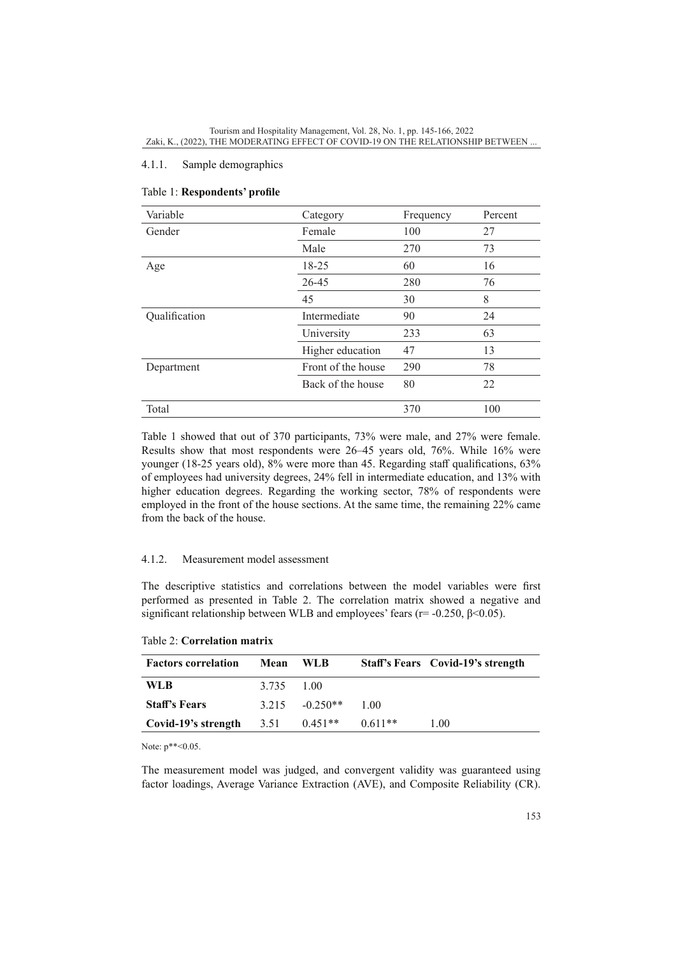# 4.1.1. Sample demographics

| Variable      | Category           | Frequency | Percent |
|---------------|--------------------|-----------|---------|
| Gender        | Female             | 100       | 27      |
|               | Male               | 270       | 73      |
| Age           | 18-25              | 60        | 16      |
|               | 26-45              | 280       | 76      |
|               | 45                 | 30        | 8       |
| Qualification | Intermediate       | 90        | 24      |
|               | University         | 233       | 63      |
|               | Higher education   | 47        | 13      |
| Department    | Front of the house | 290       | 78      |
|               | Back of the house  | 80        | 22      |
| Total         |                    | 370       | 100     |

# Table 1: **Respondents' profile**

Table 1 showed that out of 370 participants, 73% were male, and 27% were female. Results show that most respondents were 26–45 years old, 76%. While 16% were younger (18-25 years old), 8% were more than 45. Regarding staff qualifications, 63% of employees had university degrees, 24% fell in intermediate education, and 13% with higher education degrees. Regarding the working sector, 78% of respondents were employed in the front of the house sections. At the same time, the remaining 22% came from the back of the house.

#### 4.1.2. Measurement model assessment

The descriptive statistics and correlations between the model variables were first performed as presented in Table 2. The correlation matrix showed a negative and significant relationship between WLB and employees' fears ( $r = -0.250$ ,  $\beta \le 0.05$ ).

| <b>Factors correlation</b> | Mean       | - WLB             |           | Staff's Fears Covid-19's strength |
|----------------------------|------------|-------------------|-----------|-----------------------------------|
| WLB                        | 3.735 1.00 |                   |           |                                   |
| <b>Staff's Fears</b>       |            | $3.215 - 0.250**$ | 1.00      |                                   |
| Covid-19's strength        | 3.51       | $0.451**$         | $0.611**$ | 1.00                              |

## Table 2: **Correlation matrix**

Note:  $p^{**}$  < 0.05.

The measurement model was judged, and convergent validity was guaranteed using factor loadings, Average Variance Extraction (AVE), and Composite Reliability (CR).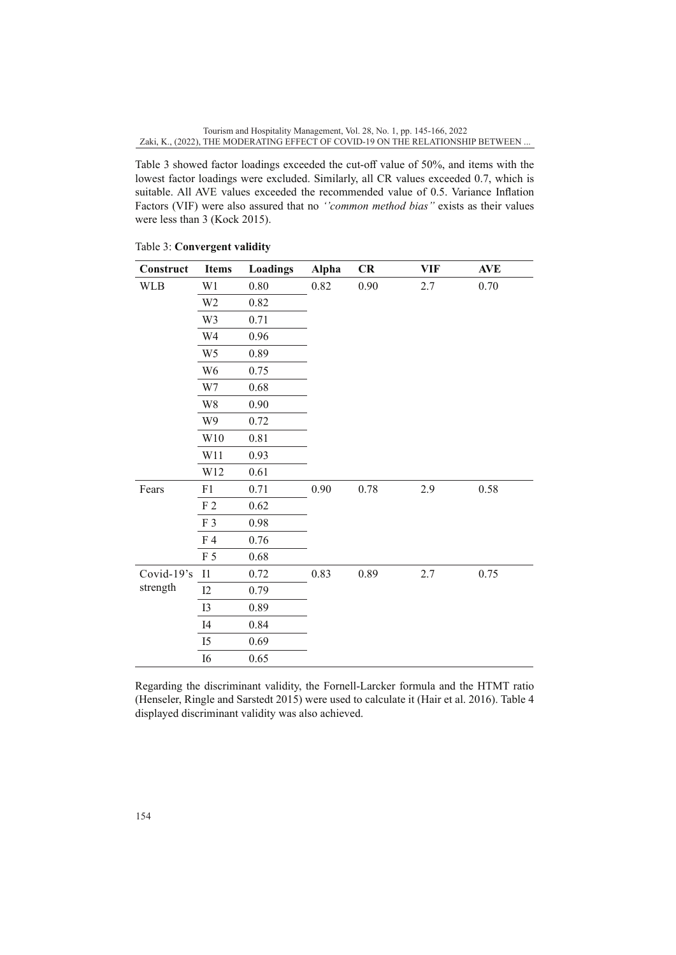Table 3 showed factor loadings exceeded the cut-off value of 50%, and items with the lowest factor loadings were excluded. Similarly, all CR values exceeded 0.7, which is suitable. All AVE values exceeded the recommended value of 0.5. Variance Inflation Factors (VIF) were also assured that no *''common method bias''* exists as their values were less than 3 (Kock 2015).

| Construct  | <b>Items</b>   | <b>Loadings</b> | Alpha | CR   | <b>VIF</b> | <b>AVE</b> |
|------------|----------------|-----------------|-------|------|------------|------------|
| <b>WLB</b> | W1             | $0.80\,$        | 0.82  | 0.90 | 2.7        | 0.70       |
|            | W <sub>2</sub> | 0.82            |       |      |            |            |
|            | W3             | 0.71            |       |      |            |            |
|            | W4             | 0.96            |       |      |            |            |
|            | W <sub>5</sub> | 0.89            |       |      |            |            |
|            | W <sub>6</sub> | 0.75            |       |      |            |            |
|            | W7             | 0.68            |       |      |            |            |
|            | W8             | 0.90            |       |      |            |            |
|            | W9             | 0.72            |       |      |            |            |
|            | W10            | 0.81            |       |      |            |            |
|            | W11            | 0.93            |       |      |            |            |
|            | W12            | 0.61            |       |      |            |            |
| Fears      | F1             | 0.71            | 0.90  | 0.78 | 2.9        | 0.58       |
|            | F <sub>2</sub> | 0.62            |       |      |            |            |
|            | F <sub>3</sub> | 0.98            |       |      |            |            |
|            | F <sub>4</sub> | 0.76            |       |      |            |            |
|            | F <sub>5</sub> | 0.68            |       |      |            |            |
| Covid-19's | I1             | 0.72            | 0.83  | 0.89 | 2.7        | 0.75       |
| strength   | I2             | 0.79            |       |      |            |            |
|            | <b>I3</b>      | 0.89            |       |      |            |            |
|            | I <sub>4</sub> | 0.84            |       |      |            |            |
|            | I <sub>5</sub> | 0.69            |       |      |            |            |
|            | <b>I6</b>      | 0.65            |       |      |            |            |

Table 3: **Convergent validity**

Regarding the discriminant validity, the Fornell-Larcker formula and the HTMT ratio (Henseler, Ringle and Sarstedt 2015) were used to calculate it (Hair et al. 2016). Table 4 displayed discriminant validity was also achieved.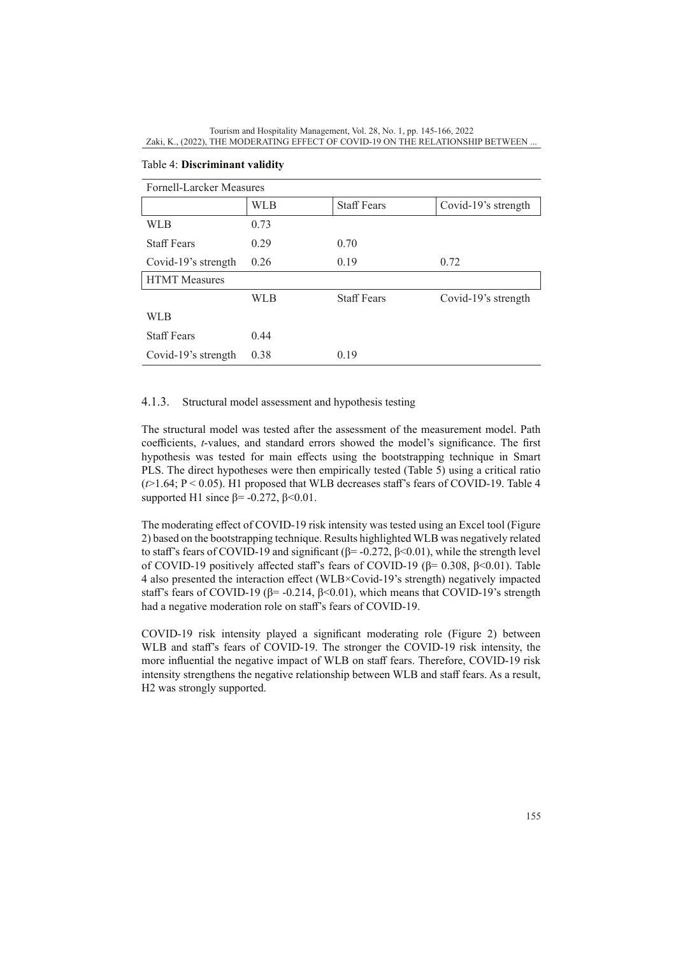| Fornell-Larcker Measures |      |                    |                     |  |  |
|--------------------------|------|--------------------|---------------------|--|--|
|                          | WLB  | <b>Staff Fears</b> | Covid-19's strength |  |  |
| WLB                      | 0.73 |                    |                     |  |  |
| <b>Staff Fears</b>       | 0.29 | 0.70               |                     |  |  |
| Covid-19's strength      | 0.26 | 0.19               | 0.72                |  |  |
| <b>HTMT</b> Measures     |      |                    |                     |  |  |
|                          | WLB  | <b>Staff Fears</b> | Covid-19's strength |  |  |
| WLB                      |      |                    |                     |  |  |
| <b>Staff Fears</b>       | 0.44 |                    |                     |  |  |
| Covid-19's strength      | 0.38 | 0.19               |                     |  |  |

# Table 4: **Discriminant validity**

# 4.1.3. Structural model assessment and hypothesis testing

The structural model was tested after the assessment of the measurement model. Path coefficients, *t*-values, and standard errors showed the model's significance. The first hypothesis was tested for main effects using the bootstrapping technique in Smart PLS. The direct hypotheses were then empirically tested (Table 5) using a critical ratio  $(\sim]$  1.64; P < 0.05). H1 proposed that WLB decreases staff's fears of COVID-19. Table 4 supported H1 since  $\beta$ = -0.272,  $\beta$  < 0.01.

The moderating effect of COVID-19 risk intensity was tested using an Excel tool (Figure 2) based on the bootstrapping technique. Results highlighted WLB was negatively related to staff's fears of COVID-19 and significant (β= -0.272, β < 0.01), while the strength level of COVID-19 positively affected staff's fears of COVID-19 (β= 0.308, β<0.01). Table 4 also presented the interaction effect (WLB×Covid-19's strength) negatively impacted staff's fears of COVID-19 ( $\beta$ = -0.214,  $\beta$ <0.01), which means that COVID-19's strength had a negative moderation role on staff's fears of COVID-19.

COVID-19 risk intensity played a significant moderating role (Figure 2) between WLB and staff's fears of COVID-19. The stronger the COVID-19 risk intensity, the more influential the negative impact of WLB on staff fears. Therefore, COVID-19 risk intensity strengthens the negative relationship between WLB and staff fears. As a result, H2 was strongly supported.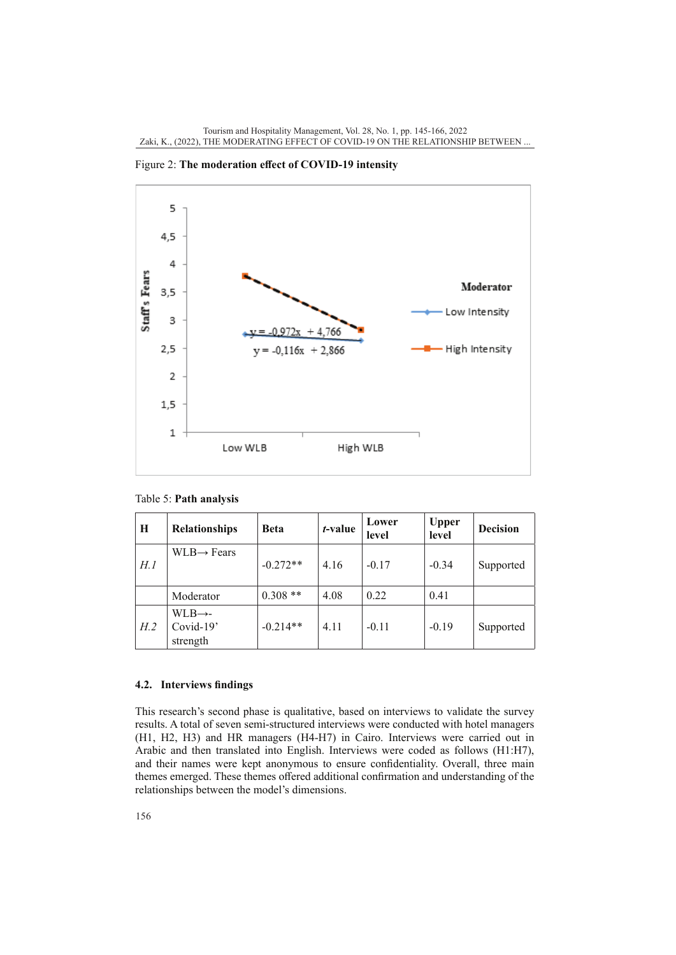

Figure 2: **The moderation effect of COVID-19 intensity**

Table 5: **Path analysis**

| H    | Relationships                                | <b>Beta</b> | <i>t</i> -value | Lower<br>level | <b>Upper</b><br>level | <b>Decision</b> |
|------|----------------------------------------------|-------------|-----------------|----------------|-----------------------|-----------------|
| H. 1 | $WLB \rightarrow Fears$                      | $-0.272**$  | 4.16            | $-0.17$        | $-0.34$               | Supported       |
|      | Moderator                                    | $0.308**$   | 4.08            | 0.22           | 0.41                  |                 |
| H.2  | $WLB \rightarrow -$<br>Covid-19'<br>strength | $-0.214**$  | 4.11            | $-0.11$        | $-0.19$               | Supported       |

# **4.2. Interviews findings**

This research's second phase is qualitative, based on interviews to validate the survey results. A total of seven semi-structured interviews were conducted with hotel managers (H1, H2, H3) and HR managers (H4-H7) in Cairo. Interviews were carried out in Arabic and then translated into English. Interviews were coded as follows (H1:H7), and their names were kept anonymous to ensure confidentiality. Overall, three main themes emerged. These themes offered additional confirmation and understanding of the relationships between the model's dimensions.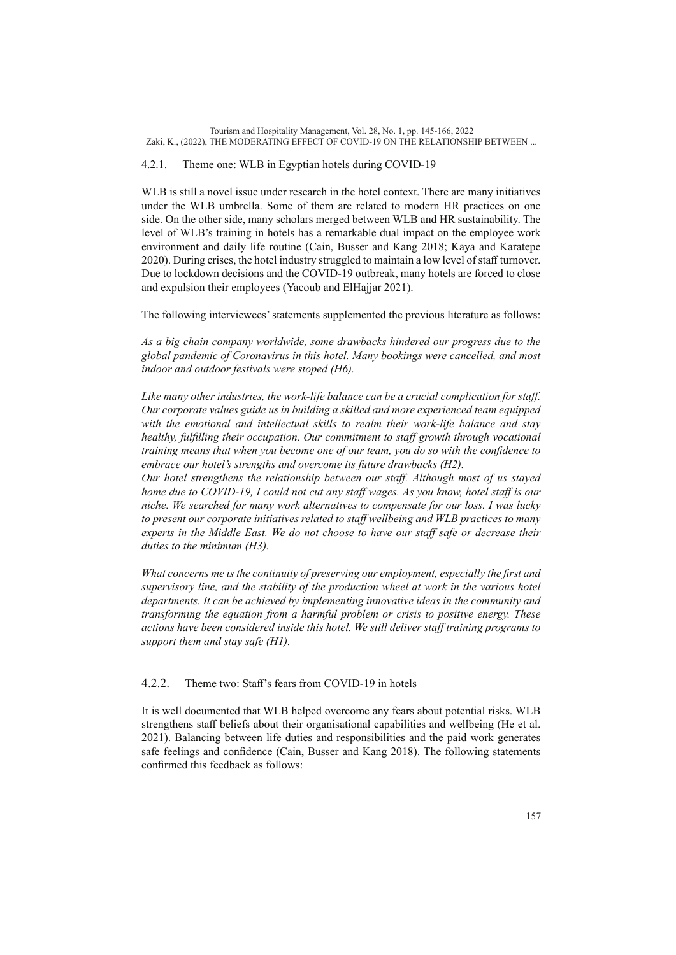# 4.2.1. Theme one: WLB in Egyptian hotels during COVID-19

WLB is still a novel issue under research in the hotel context. There are many initiatives under the WLB umbrella. Some of them are related to modern HR practices on one side. On the other side, many scholars merged between WLB and HR sustainability. The level of WLB's training in hotels has a remarkable dual impact on the employee work environment and daily life routine (Cain, Busser and Kang 2018; Kaya and Karatepe 2020). During crises, the hotel industry struggled to maintain a low level of staff turnover. Due to lockdown decisions and the COVID-19 outbreak, many hotels are forced to close and expulsion their employees (Yacoub and ElHajjar 2021).

The following interviewees' statements supplemented the previous literature as follows:

*As a big chain company worldwide, some drawbacks hindered our progress due to the global pandemic of Coronavirus in this hotel. Many bookings were cancelled, and most indoor and outdoor festivals were stoped (H6).*

*Like many other industries, the work-life balance can be a crucial complication for staff. Our corporate values guide us in building a skilled and more experienced team equipped with the emotional and intellectual skills to realm their work-life balance and stay healthy, fulfilling their occupation. Our commitment to staff growth through vocational training means that when you become one of our team, you do so with the confidence to embrace our hotel's strengths and overcome its future drawbacks (H2).*

*Our hotel strengthens the relationship between our staff. Although most of us stayed home due to COVID-19, I could not cut any staff wages. As you know, hotel staff is our niche. We searched for many work alternatives to compensate for our loss. I was lucky to present our corporate initiatives related to staff wellbeing and WLB practices to many experts in the Middle East. We do not choose to have our staff safe or decrease their duties to the minimum (H3).*

*What concerns me is the continuity of preserving our employment, especially the first and supervisory line, and the stability of the production wheel at work in the various hotel departments. It can be achieved by implementing innovative ideas in the community and transforming the equation from a harmful problem or crisis to positive energy. These actions have been considered inside this hotel. We still deliver staff training programs to support them and stay safe (H1).*

# 4.2.2. Theme two: Staff's fears from COVID-19 in hotels

It is well documented that WLB helped overcome any fears about potential risks. WLB strengthens staff beliefs about their organisational capabilities and wellbeing (He et al. 2021). Balancing between life duties and responsibilities and the paid work generates safe feelings and confidence (Cain, Busser and Kang 2018). The following statements confirmed this feedback as follows: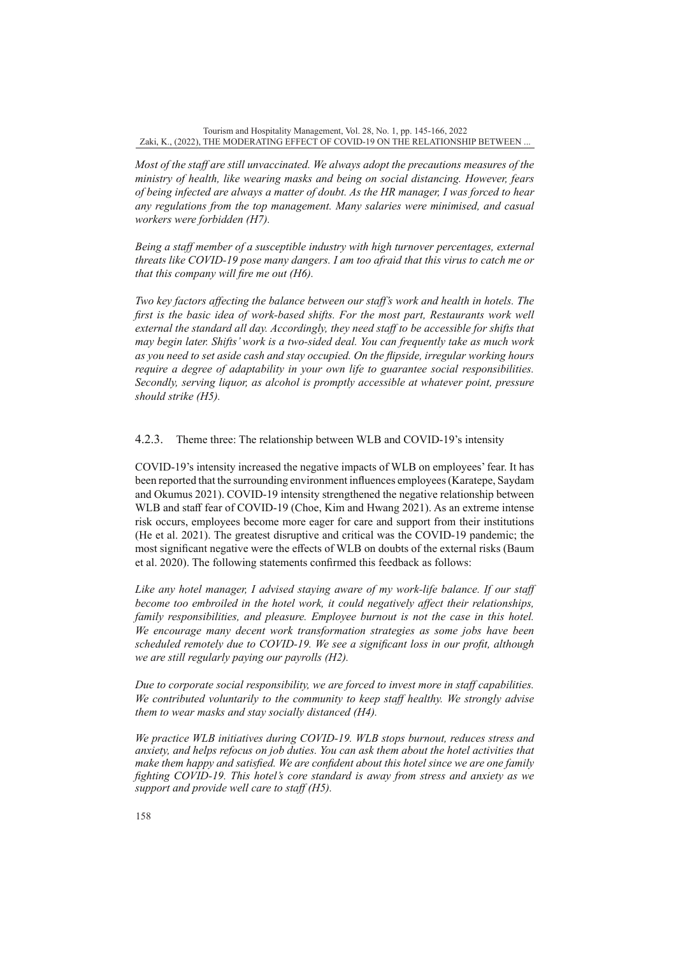*Most of the staff are still unvaccinated. We always adopt the precautions measures of the ministry of health, like wearing masks and being on social distancing. However, fears of being infected are always a matter of doubt. As the HR manager, I was forced to hear any regulations from the top management. Many salaries were minimised, and casual workers were forbidden (H7).* 

*Being a staff member of a susceptible industry with high turnover percentages, external threats like COVID-19 pose many dangers. I am too afraid that this virus to catch me or that this company will fire me out (H6).*

*Two key factors affecting the balance between our staff's work and health in hotels. The*  first is the basic idea of work-based shifts. For the most part, Restaurants work well *external the standard all day. Accordingly, they need staff to be accessible for shifts that may begin later. Shifts' work is a two-sided deal. You can frequently take as much work as you need to set aside cash and stay occupied. On the flipside, irregular working hours require a degree of adaptability in your own life to guarantee social responsibilities. Secondly, serving liquor, as alcohol is promptly accessible at whatever point, pressure should strike (H5).*

4.2.3. Theme three: The relationship between WLB and COVID-19's intensity

COVID-19's intensity increased the negative impacts of WLB on employees' fear. It has been reported that the surrounding environment influences employees (Karatepe, Saydam and Okumus 2021). COVID-19 intensity strengthened the negative relationship between WLB and staff fear of COVID-19 (Choe, Kim and Hwang 2021). As an extreme intense risk occurs, employees become more eager for care and support from their institutions (He et al. 2021). The greatest disruptive and critical was the COVID-19 pandemic; the most significant negative were the effects of WLB on doubts of the external risks (Baum et al. 2020). The following statements confirmed this feedback as follows:

*Like any hotel manager, I advised staying aware of my work-life balance. If our staff become too embroiled in the hotel work, it could negatively affect their relationships, family responsibilities, and pleasure. Employee burnout is not the case in this hotel. We encourage many decent work transformation strategies as some jobs have been scheduled remotely due to COVID-19. We see a significant loss in our profit, although we are still regularly paying our payrolls (H2).* 

*Due to corporate social responsibility, we are forced to invest more in staff capabilities. We contributed voluntarily to the community to keep staff healthy. We strongly advise them to wear masks and stay socially distanced (H4).*

*We practice WLB initiatives during COVID-19. WLB stops burnout, reduces stress and anxiety, and helps refocus on job duties. You can ask them about the hotel activities that make them happy and satisfied. We are confident about this hotel since we are one family fighting COVID-19. This hotel's core standard is away from stress and anxiety as we support and provide well care to staff (H5).*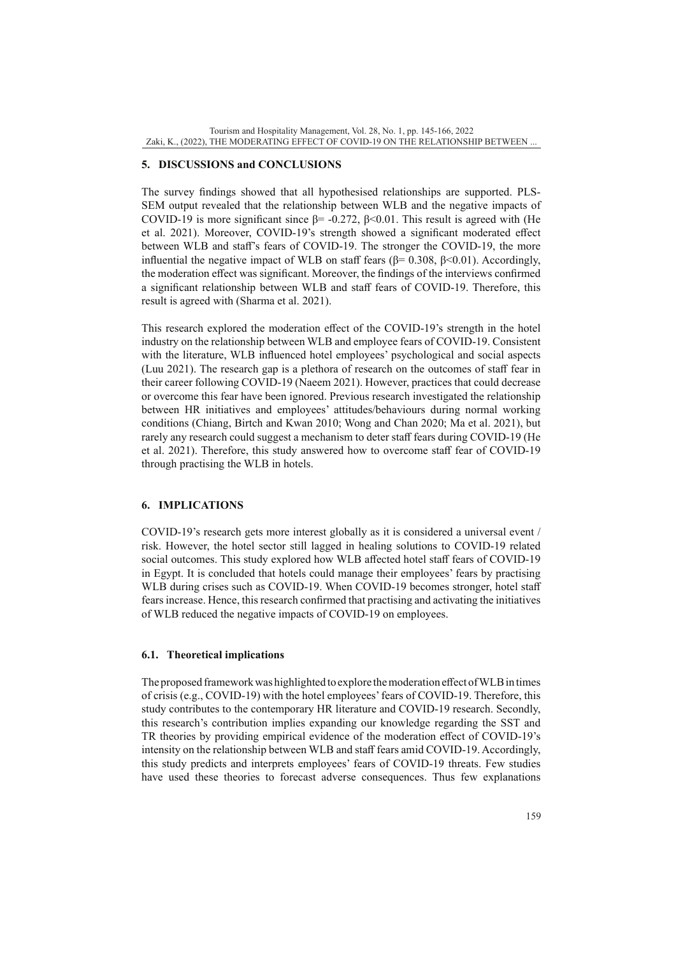# **5. DISCUSSIONS and CONCLUSIONS**

The survey findings showed that all hypothesised relationships are supported. PLS-SEM output revealed that the relationship between WLB and the negative impacts of COVID-19 is more significant since  $\beta$ = -0.272,  $\beta$ <0.01. This result is agreed with (He et al. 2021). Moreover, COVID-19's strength showed a significant moderated effect between WLB and staff's fears of COVID-19. The stronger the COVID-19, the more influential the negative impact of WLB on staff fears (β= 0.308, β < 0.01). Accordingly, the moderation effect was significant. Moreover, the findings of the interviews confirmed a significant relationship between WLB and staff fears of COVID-19. Therefore, this result is agreed with (Sharma et al. 2021).

This research explored the moderation effect of the COVID-19's strength in the hotel industry on the relationship between WLB and employee fears of COVID-19. Consistent with the literature, WLB influenced hotel employees' psychological and social aspects (Luu 2021). The research gap is a plethora of research on the outcomes of staff fear in their career following COVID-19 (Naeem 2021). However, practices that could decrease or overcome this fear have been ignored. Previous research investigated the relationship between HR initiatives and employees' attitudes/behaviours during normal working conditions (Chiang, Birtch and Kwan 2010; Wong and Chan 2020; Ma et al. 2021), but rarely any research could suggest a mechanism to deter staff fears during COVID-19 (He et al. 2021). Therefore, this study answered how to overcome staff fear of COVID-19 through practising the WLB in hotels.

# **6. IMPLICATIONS**

COVID-19's research gets more interest globally as it is considered a universal event / risk. However, the hotel sector still lagged in healing solutions to COVID-19 related social outcomes. This study explored how WLB affected hotel staff fears of COVID-19 in Egypt. It is concluded that hotels could manage their employees' fears by practising WLB during crises such as COVID-19. When COVID-19 becomes stronger, hotel staff fears increase. Hence, this research confirmed that practising and activating the initiatives of WLB reduced the negative impacts of COVID-19 on employees.

# **6.1. Theoretical implications**

The proposed framework was highlighted to explore the moderation effect of WLB in times of crisis (e.g., COVID-19) with the hotel employees' fears of COVID-19. Therefore, this study contributes to the contemporary HR literature and COVID-19 research. Secondly, this research's contribution implies expanding our knowledge regarding the SST and TR theories by providing empirical evidence of the moderation effect of COVID-19's intensity on the relationship between WLB and staff fears amid COVID-19. Accordingly, this study predicts and interprets employees' fears of COVID-19 threats. Few studies have used these theories to forecast adverse consequences. Thus few explanations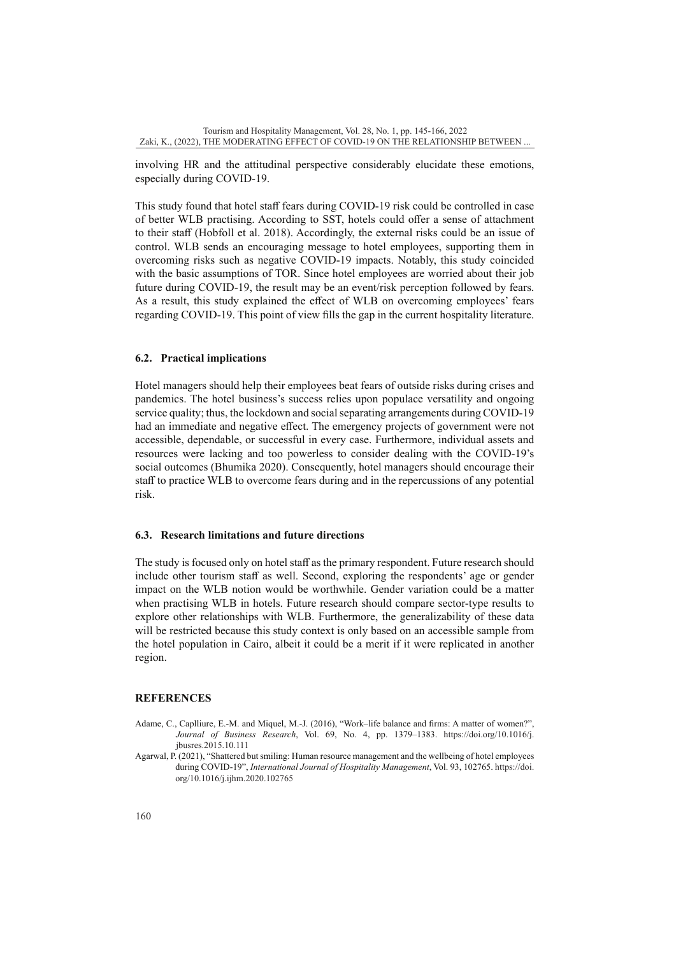involving HR and the attitudinal perspective considerably elucidate these emotions, especially during COVID-19.

This study found that hotel staff fears during COVID-19 risk could be controlled in case of better WLB practising. According to SST, hotels could offer a sense of attachment to their staff (Hobfoll et al. 2018). Accordingly, the external risks could be an issue of control. WLB sends an encouraging message to hotel employees, supporting them in overcoming risks such as negative COVID-19 impacts. Notably, this study coincided with the basic assumptions of TOR. Since hotel employees are worried about their job future during COVID-19, the result may be an event/risk perception followed by fears. As a result, this study explained the effect of WLB on overcoming employees' fears regarding COVID-19. This point of view fills the gap in the current hospitality literature.

#### **6.2. Practical implications**

Hotel managers should help their employees beat fears of outside risks during crises and pandemics. The hotel business's success relies upon populace versatility and ongoing service quality; thus, the lockdown and social separating arrangements during COVID-19 had an immediate and negative effect. The emergency projects of government were not accessible, dependable, or successful in every case. Furthermore, individual assets and resources were lacking and too powerless to consider dealing with the COVID-19's social outcomes (Bhumika 2020). Consequently, hotel managers should encourage their staff to practice WLB to overcome fears during and in the repercussions of any potential risk.

# **6.3. Research limitations and future directions**

The study is focused only on hotel staff as the primary respondent. Future research should include other tourism staff as well. Second, exploring the respondents' age or gender impact on the WLB notion would be worthwhile. Gender variation could be a matter when practising WLB in hotels. Future research should compare sector-type results to explore other relationships with WLB. Furthermore, the generalizability of these data will be restricted because this study context is only based on an accessible sample from the hotel population in Cairo, albeit it could be a merit if it were replicated in another region.

#### **REFERENCES**

- Adame, C., Caplliure, E.-M. and Miquel, M.-J. (2016), "Work–life balance and firms: A matter of women?", *Journal of Business Research*, Vol. 69, No. 4, pp. 1379–1383. [https://doi.org/10.1016/j.](https://doi.org/10.1016/j.jbusres.2015.10.111) [jbusres.2015.10.111](https://doi.org/10.1016/j.jbusres.2015.10.111)
- Agarwal, P. (2021), "Shattered but smiling: Human resource management and the wellbeing of hotel employees during COVID-19", *International Journal of Hospitality Management*, Vol. 93, 102765. [https://doi.](https://doi.org/10.1016/j.ijhm.2020.102765) [org/10.1016/j.ijhm.2020.102765](https://doi.org/10.1016/j.ijhm.2020.102765)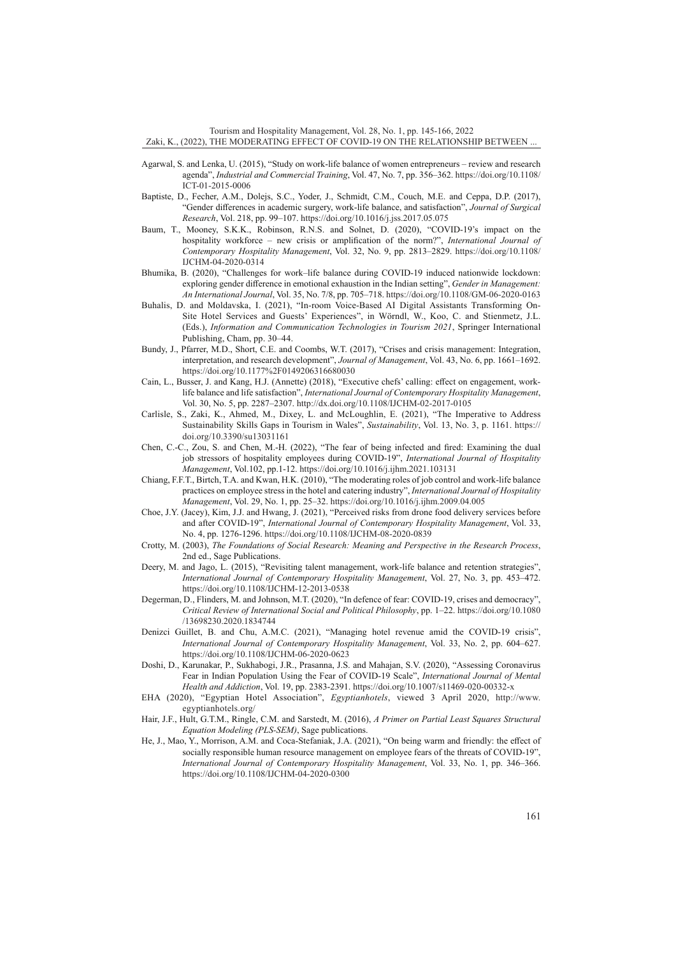Tourism and Hospitality Management, Vol. 28, No. 1, pp. 145-166, 2022 Zaki, K., (2022), THE MODERATING EFFECT OF COVID-19 ON THE RELATIONSHIP BETWEEN ...

- Agarwal, S. and Lenka, U. (2015), "Study on work-life balance of women entrepreneurs review and research agenda", *Industrial and Commercial Training*, Vol. 47, No. 7, pp. 356–362. [https://doi.org/10.1108/](https://doi.org/10.1108/ICT-01-2015-0006) [ICT-01-2015-0006](https://doi.org/10.1108/ICT-01-2015-0006)
- Baptiste, D., Fecher, A.M., Dolejs, S.C., Yoder, J., Schmidt, C.M., Couch, M.E. and Ceppa, D.P. (2017), "Gender differences in academic surgery, work-life balance, and satisfaction", *Journal of Surgical Research*, Vol. 218, pp. 99–107.<https://doi.org/10.1016/j.jss.2017.05.075>
- Baum, T., Mooney, S.K.K., Robinson, R.N.S. and Solnet, D. (2020), "COVID-19's impact on the hospitality workforce – new crisis or amplification of the norm?", *International Journal of Contemporary Hospitality Management*, Vol. 32, No. 9, pp. 2813–2829. [https://doi.org/10.1108/](https://doi.org/10.1108/IJCHM-04-2020-0314) [IJCHM-04-2020-0314](https://doi.org/10.1108/IJCHM-04-2020-0314)
- Bhumika, B. (2020), "Challenges for work–life balance during COVID-19 induced nationwide lockdown: exploring gender difference in emotional exhaustion in the Indian setting", *Gender in Management: An International Journal*, Vol. 35, No. 7/8, pp. 705–718.<https://doi.org/10.1108/GM-06-2020-0163>
- Buhalis, D. and Moldavska, I. (2021), "In-room Voice-Based AI Digital Assistants Transforming On-Site Hotel Services and Guests' Experiences", in Wörndl, W., Koo, C. and Stienmetz, J.L. (Eds.), *Information and Communication Technologies in Tourism 2021*, Springer International Publishing, Cham, pp. 30–44.
- Bundy, J., Pfarrer, M.D., Short, C.E. and Coombs, W.T. (2017), "Crises and crisis management: Integration, interpretation, and research development", *Journal of Management*, Vol. 43, No. 6, pp. 1661–1692. <https://doi.org/10.1177%2F0149206316680030>
- Cain, L., Busser, J. and Kang, H.J. (Annette) (2018), "Executive chefs' calling: effect on engagement, worklife balance and life satisfaction", *International Journal of Contemporary Hospitality Management*, Vol. 30, No. 5, pp. 2287–2307.<http://dx.doi.org/10.1108/IJCHM-02-2017-0105>
- Carlisle, S., Zaki, K., Ahmed, M., Dixey, L. and McLoughlin, E. (2021), "The Imperative to Address Sustainability Skills Gaps in Tourism in Wales", *Sustainability*, Vol. 13, No. 3, p. 1161. [https://](https://doi.org/10.3390/su13031161) [doi.org/10.3390/su13031161](https://doi.org/10.3390/su13031161)
- Chen, C.-C., Zou, S. and Chen, M.-H. (2022), "The fear of being infected and fired: Examining the dual job stressors of hospitality employees during COVID-19", *International Journal of Hospitality Management*, Vol.102, pp.1-12. <https://doi.org/10.1016/j.ijhm.2021.103131>
- Chiang, F.F.T., Birtch, T.A. and Kwan, H.K. (2010), "The moderating roles of job control and work-life balance practices on employee stress in the hotel and catering industry", *International Journal of Hospitality Management*, Vol. 29, No. 1, pp. 25–32.<https://doi.org/10.1016/j.ijhm.2009.04.005>
- Choe, J.Y. (Jacey), Kim, J.J. and Hwang, J. (2021), "Perceived risks from drone food delivery services before and after COVID-19", *International Journal of Contemporary Hospitality Management*, Vol. 33, No. 4, pp. 1276-1296.<https://doi.org/10.1108/IJCHM-08-2020-0839>
- Crotty, M. (2003), *The Foundations of Social Research: Meaning and Perspective in the Research Process*, 2nd ed., Sage Publications.
- Deery, M. and Jago, L. (2015), "Revisiting talent management, work-life balance and retention strategies", *International Journal of Contemporary Hospitality Management*, Vol. 27, No. 3, pp. 453–472. <https://doi.org/10.1108/IJCHM-12-2013-0538>
- Degerman, D., Flinders, M. and Johnson, M.T. (2020), "In defence of fear: COVID-19, crises and democracy", *Critical Review of International Social and Political Philosophy*, pp. 1–22. [https://doi.org/10.1080](https://doi.org/10.1080/13698230.2020.1834744) [/13698230.2020.1834744](https://doi.org/10.1080/13698230.2020.1834744)
- Denizci Guillet, B. and Chu, A.M.C. (2021), "Managing hotel revenue amid the COVID-19 crisis", *International Journal of Contemporary Hospitality Management*, Vol. 33, No. 2, pp. 604–627. <https://doi.org/10.1108/IJCHM-06-2020-0623>
- Doshi, D., Karunakar, P., Sukhabogi, J.R., Prasanna, J.S. and Mahajan, S.V. (2020), "Assessing Coronavirus Fear in Indian Population Using the Fear of COVID-19 Scale", *International Journal of Mental Health and Addiction*, Vol. 19, pp. 2383-2391. <https://doi.org/10.1007/s11469-020-00332-x>
- EHA (2020), "Egyptian Hotel Association", *Egyptianhotels*, viewed 3 April 2020, [http://www.](http://www.egyptianhotels.org/) [egyptianhotels.org/](http://www.egyptianhotels.org/)
- Hair, J.F., Hult, G.T.M., Ringle, C.M. and Sarstedt, M. (2016), *A Primer on Partial Least Squares Structural Equation Modeling (PLS-SEM)*, Sage publications.
- He, J., Mao, Y., Morrison, A.M. and Coca-Stefaniak, J.A. (2021), "On being warm and friendly: the effect of socially responsible human resource management on employee fears of the threats of COVID-19", *International Journal of Contemporary Hospitality Management*, Vol. 33, No. 1, pp. 346–366. <https://doi.org/10.1108/IJCHM-04-2020-0300>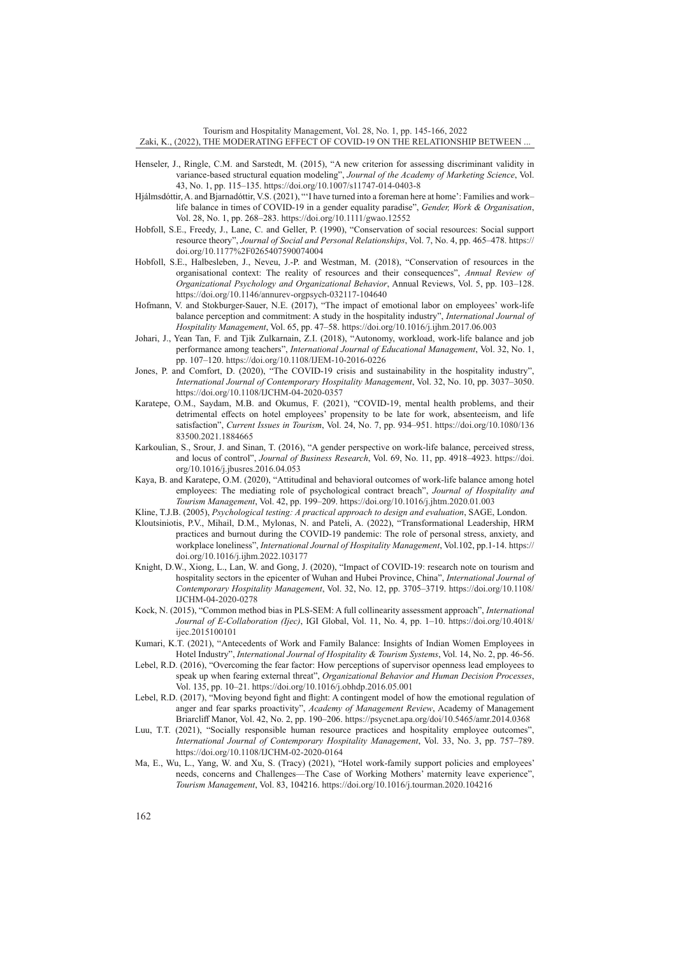Tourism and Hospitality Management, Vol. 28, No. 1, pp. 145-166, 2022 Zaki, K., (2022), THE MODERATING EFFECT OF COVID-19 ON THE RELATIONSHIP BETWEEN ...

- Henseler, J., Ringle, C.M. and Sarstedt, M. (2015), "A new criterion for assessing discriminant validity in variance-based structural equation modeling", *Journal of the Academy of Marketing Science*, Vol. 43, No. 1, pp. 115–135. <https://doi.org/10.1007/s11747-014-0403-8>
- Hjálmsdóttir, A. and Bjarnadóttir, V.S. (2021), "'I have turned into a foreman here at home': Families and work– life balance in times of COVID‐19 in a gender equality paradise", *Gender, Work & Organisation*, Vol. 28, No. 1, pp. 268–283. <https://doi.org/10.1111/gwao.12552>
- Hobfoll, S.E., Freedy, J., Lane, C. and Geller, P. (1990), "Conservation of social resources: Social support resource theory", *Journal of Social and Personal Relationships*, Vol. 7, No. 4, pp. 465–478. [https://](https://doi.org/10.1177%2F0265407590074004) [doi.org/10.1177%2F0265407590074004](https://doi.org/10.1177%2F0265407590074004)
- Hobfoll, S.E., Halbesleben, J., Neveu, J.-P. and Westman, M. (2018), "Conservation of resources in the organisational context: The reality of resources and their consequences", *Annual Review of Organizational Psychology and Organizational Behavior*, Annual Reviews, Vol. 5, pp. 103–128. <https://doi.org/10.1146/annurev-orgpsych-032117-104640>
- Hofmann, V. and Stokburger-Sauer, N.E. (2017), "The impact of emotional labor on employees' work-life balance perception and commitment: A study in the hospitality industry", *International Journal of Hospitality Management*, Vol. 65, pp. 47–58.<https://doi.org/10.1016/j.ijhm.2017.06.003>
- Johari, J., Yean Tan, F. and Tjik Zulkarnain, Z.I. (2018), "Autonomy, workload, work-life balance and job performance among teachers", *International Journal of Educational Management*, Vol. 32, No. 1, pp. 107–120.<https://doi.org/10.1108/IJEM-10-2016-0226>
- Jones, P. and Comfort, D. (2020), "The COVID-19 crisis and sustainability in the hospitality industry", *International Journal of Contemporary Hospitality Management*, Vol. 32, No. 10, pp. 3037–3050. <https://doi.org/10.1108/IJCHM-04-2020-0357>
- Karatepe, O.M., Saydam, M.B. and Okumus, F. (2021), "COVID-19, mental health problems, and their detrimental effects on hotel employees' propensity to be late for work, absenteeism, and life satisfaction", *Current Issues in Tourism*, Vol. 24, No. 7, pp. 934–951. [https://doi.org/10.1080/136](https://doi.org/10.1080/13683500.2021.1884665) [83500.2021.1884665](https://doi.org/10.1080/13683500.2021.1884665)
- Karkoulian, S., Srour, J. and Sinan, T. (2016), "A gender perspective on work-life balance, perceived stress, and locus of control", *Journal of Business Research*, Vol. 69, No. 11, pp. 4918–4923. [https://doi.](https://doi.org/10.1016/j.jbusres.2016.04.053) [org/10.1016/j.jbusres.2016.04.053](https://doi.org/10.1016/j.jbusres.2016.04.053)
- Kaya, B. and Karatepe, O.M. (2020), "Attitudinal and behavioral outcomes of work-life balance among hotel employees: The mediating role of psychological contract breach", *Journal of Hospitality and Tourism Management*, Vol. 42, pp. 199–209. <https://doi.org/10.1016/j.jhtm.2020.01.003>
- Kline, T.J.B. (2005), *Psychological testing: A practical approach to design and evaluation*, SAGE, London.
- Kloutsiniotis, P.V., Mihail, D.M., Mylonas, N. and Pateli, A. (2022), "Transformational Leadership, HRM practices and burnout during the COVID-19 pandemic: The role of personal stress, anxiety, and workplace loneliness", *International Journal of Hospitality Management*, Vol.102, pp.1-14. [https://](https://doi.org/10.1016/j.ijhm.2022.103177) [doi.org/10.1016/j.ijhm.2022.103177](https://doi.org/10.1016/j.ijhm.2022.103177)
- Knight, D.W., Xiong, L., Lan, W. and Gong, J. (2020), "Impact of COVID-19: research note on tourism and hospitality sectors in the epicenter of Wuhan and Hubei Province, China", *International Journal of Contemporary Hospitality Management*, Vol. 32, No. 12, pp. 3705–3719. [https://doi.org/10.1108/](https://doi.org/10.1108/IJCHM-04-2020-0278) [IJCHM-04-2020-0278](https://doi.org/10.1108/IJCHM-04-2020-0278)
- Kock, N. (2015), "Common method bias in PLS-SEM: A full collinearity assessment approach", *International Journal of E-Collaboration (Ijec)*, IGI Global, Vol. 11, No. 4, pp. 1–10. [https://doi.org/10.4018/](https://doi.org/10.4018/ijec.2015100101) [ijec.2015100101](https://doi.org/10.4018/ijec.2015100101)
- Kumari, K.T. (2021), "Antecedents of Work and Family Balance: Insights of Indian Women Employees in Hotel Industry", *International Journal of Hospitality & Tourism Systems*, Vol. 14, No. 2, pp. 46-56.
- Lebel, R.D. (2016), "Overcoming the fear factor: How perceptions of supervisor openness lead employees to speak up when fearing external threat", *Organizational Behavior and Human Decision Processes*, Vol. 135, pp. 10–21.<https://doi.org/10.1016/j.obhdp.2016.05.001>
- Lebel, R.D. (2017), "Moving beyond fight and flight: A contingent model of how the emotional regulation of anger and fear sparks proactivity", *Academy of Management Review*, Academy of Management Briarcliff Manor, Vol. 42, No. 2, pp. 190–206. <https://psycnet.apa.org/doi/10.5465/amr.2014.0368>
- Luu, T.T. (2021), "Socially responsible human resource practices and hospitality employee outcomes", *International Journal of Contemporary Hospitality Management*, Vol. 33, No. 3, pp. 757–789. <https://doi.org/10.1108/IJCHM-02-2020-0164>
- Ma, E., Wu, L., Yang, W. and Xu, S. (Tracy) (2021), "Hotel work-family support policies and employees' needs, concerns and Challenges—The Case of Working Mothers' maternity leave experience", *Tourism Management*, Vol. 83, 104216. <https://doi.org/10.1016/j.tourman.2020.104216>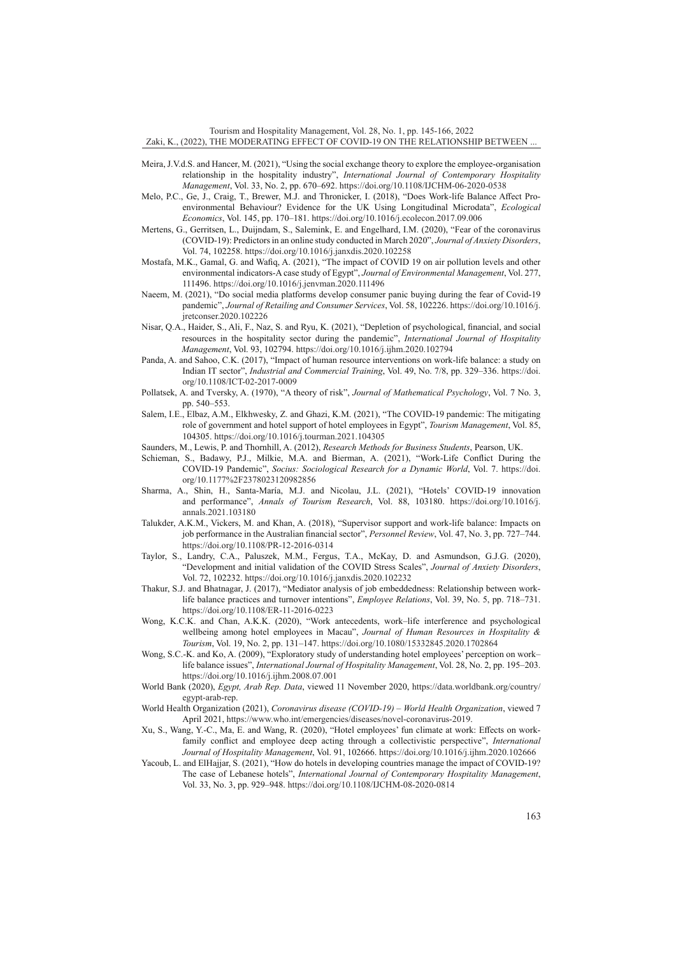Tourism and Hospitality Management, Vol. 28, No. 1, pp. 145-166, 2022 Zaki, K., (2022), THE MODERATING EFFECT OF COVID-19 ON THE RELATIONSHIP BETWEEN ...

- Meira, J.V.d.S. and Hancer, M. (2021), "Using the social exchange theory to explore the employee-organisation relationship in the hospitality industry", *International Journal of Contemporary Hospitality Management*, Vol. 33, No. 2, pp. 670–692.<https://doi.org/10.1108/IJCHM-06-2020-0538>
- Melo, P.C., Ge, J., Craig, T., Brewer, M.J. and Thronicker, I. (2018), "Does Work-life Balance Affect Proenvironmental Behaviour? Evidence for the UK Using Longitudinal Microdata", *Ecological Economics*, Vol. 145, pp. 170–181. <https://doi.org/10.1016/j.ecolecon.2017.09.006>
- Mertens, G., Gerritsen, L., Duijndam, S., Salemink, E. and Engelhard, I.M. (2020), "Fear of the coronavirus (COVID-19): Predictors in an online study conducted in March 2020", *Journal of Anxiety Disorders*, Vol. 74, 102258. <https://doi.org/10.1016/j.janxdis.2020.102258>
- Mostafa, M.K., Gamal, G. and Wafiq, A. (2021), "The impact of COVID 19 on air pollution levels and other environmental indicators-A case study of Egypt", *Journal of Environmental Management*, Vol. 277, 111496.<https://doi.org/10.1016/j.jenvman.2020.111496>
- Naeem, M. (2021), "Do social media platforms develop consumer panic buying during the fear of Covid-19 pandemic", *Journal of Retailing and Consumer Services*, Vol. 58, 102226. [https://doi.org/10.1016/j.](https://doi.org/10.1016/j.jretconser.2020.102226) [jretconser.2020.102226](https://doi.org/10.1016/j.jretconser.2020.102226)
- Nisar, Q.A., Haider, S., Ali, F., Naz, S. and Ryu, K. (2021), "Depletion of psychological, financial, and social resources in the hospitality sector during the pandemic", *International Journal of Hospitality Management*, Vol. 93, 102794. <https://doi.org/10.1016/j.ijhm.2020.102794>
- Panda, A. and Sahoo, C.K. (2017), "Impact of human resource interventions on work-life balance: a study on Indian IT sector", *Industrial and Commercial Training*, Vol. 49, No. 7/8, pp. 329–336. [https://doi.](https://doi.org/10.1108/ICT-02-2017-0009) [org/10.1108/ICT-02-2017-0009](https://doi.org/10.1108/ICT-02-2017-0009)
- Pollatsek, A. and Tversky, A. (1970), "A theory of risk", *Journal of Mathematical Psychology*, Vol. 7 No. 3, pp. 540–553.
- Salem, I.E., Elbaz, A.M., Elkhwesky, Z. and Ghazi, K.M. (2021), "The COVID-19 pandemic: The mitigating role of government and hotel support of hotel employees in Egypt", *Tourism Management*, Vol. 85, 104305. <https://doi.org/10.1016/j.tourman.2021.104305>
- Saunders, M., Lewis, P. and Thornhill, A. (2012), *Research Methods for Business Students*, Pearson, UK.
- Schieman, S., Badawy, P.J., Milkie, M.A. and Bierman, A. (2021), "Work-Life Conflict During the COVID-19 Pandemic", *Socius: Sociological Research for a Dynamic World*, Vol. 7. [https://doi.](https://doi.org/10.1177%2F2378023120982856) [org/10.1177%2F2378023120982856](https://doi.org/10.1177%2F2378023120982856)
- Sharma, A., Shin, H., Santa-María, M.J. and Nicolau, J.L. (2021), "Hotels' COVID-19 innovation and performance", *Annals of Tourism Research*, Vol. 88, 103180. [https://doi.org/10.1016/j.](https://doi.org/10.1016/j.annals.2021.103180) [annals.2021.103180](https://doi.org/10.1016/j.annals.2021.103180)
- Talukder, A.K.M., Vickers, M. and Khan, A. (2018), "Supervisor support and work-life balance: Impacts on job performance in the Australian financial sector", *Personnel Review*, Vol. 47, No. 3, pp. 727–744. <https://doi.org/10.1108/PR-12-2016-0314>
- Taylor, S., Landry, C.A., Paluszek, M.M., Fergus, T.A., McKay, D. and Asmundson, G.J.G. (2020), "Development and initial validation of the COVID Stress Scales", *Journal of Anxiety Disorders*, Vol. 72, 102232. <https://doi.org/10.1016/j.janxdis.2020.102232>
- Thakur, S.J. and Bhatnagar, J. (2017), "Mediator analysis of job embeddedness: Relationship between worklife balance practices and turnover intentions", *Employee Relations*, Vol. 39, No. 5, pp. 718–731. <https://doi.org/10.1108/ER-11-2016-0223>
- Wong, K.C.K. and Chan, A.K.K. (2020), "Work antecedents, work–life interference and psychological wellbeing among hotel employees in Macau", *Journal of Human Resources in Hospitality & Tourism*, Vol. 19, No. 2, pp. 131–147.<https://doi.org/10.1080/15332845.2020.1702864>
- Wong, S.C.-K. and Ko, A. (2009), "Exploratory study of understanding hotel employees' perception on work– life balance issues", *International Journal of Hospitality Management*, Vol. 28, No. 2, pp. 195–203. <https://doi.org/10.1016/j.ijhm.2008.07.001>
- World Bank (2020), *Egypt, Arab Rep. Data*, viewed 11 November 2020, [https://data.worldbank.org/country/](https://data.worldbank.org/country/egypt-arab-rep) [egypt-arab-rep.](https://data.worldbank.org/country/egypt-arab-rep)
- World Health Organization (2021), *Coronavirus disease (COVID-19) World Health Organization*, viewed 7 April 2021, <https://www.who.int/emergencies/diseases/novel-coronavirus-2019>.
- Xu, S., Wang, Y.-C., Ma, E. and Wang, R. (2020), "Hotel employees' fun climate at work: Effects on workfamily conflict and employee deep acting through a collectivistic perspective", *International Journal of Hospitality Management*, Vol. 91, 102666. <https://doi.org/10.1016/j.ijhm.2020.102666>
- Yacoub, L. and ElHajjar, S. (2021), "How do hotels in developing countries manage the impact of COVID-19? The case of Lebanese hotels", *International Journal of Contemporary Hospitality Management*, Vol. 33, No. 3, pp. 929–948.<https://doi.org/10.1108/IJCHM-08-2020-0814>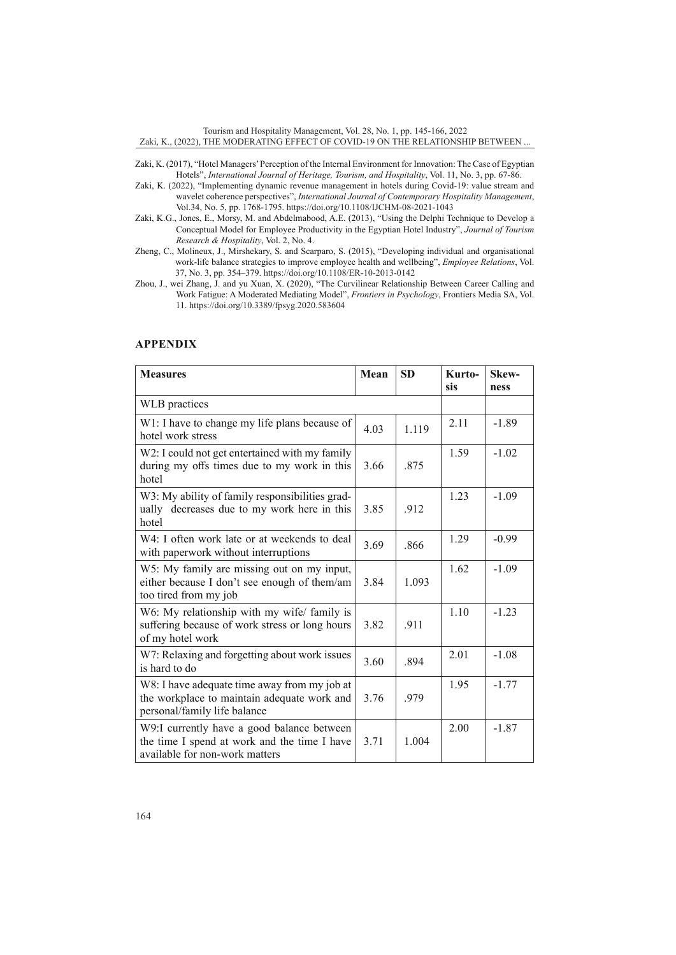Tourism and Hospitality Management, Vol. 28, No. 1, pp. 145-166, 2022 Zaki, K., (2022), THE MODERATING EFFECT OF COVID-19 ON THE RELATIONSHIP BETWEEN ...

- Zaki, K. (2017), "Hotel Managers' Perception of the Internal Environment for Innovation: The Case of Egyptian Hotels", *International Journal of Heritage, Tourism, and Hospitality*, Vol. 11, No. 3, pp. 67-86.
- Zaki, K. (2022), "Implementing dynamic revenue management in hotels during Covid-19: value stream and wavelet coherence perspectives", *International Journal of Contemporary Hospitality Management*, Vol.34, No. 5, pp. 1768-1795.<https://doi.org/10.1108/IJCHM-08-2021-1043>
- Zaki, K.G., Jones, E., Morsy, M. and Abdelmabood, A.E. (2013), "Using the Delphi Technique to Develop a Conceptual Model for Employee Productivity in the Egyptian Hotel Industry", *Journal of Tourism Research & Hospitality*, Vol. 2, No. 4.
- Zheng, C., Molineux, J., Mirshekary, S. and Scarparo, S. (2015), "Developing individual and organisational work-life balance strategies to improve employee health and wellbeing", *Employee Relations*, Vol. 37, No. 3, pp. 354–379.<https://doi.org/10.1108/ER-10-2013-0142>
- Zhou, J., wei Zhang, J. and yu Xuan, X. (2020), "The Curvilinear Relationship Between Career Calling and Work Fatigue: A Moderated Mediating Model", *Frontiers in Psychology*, Frontiers Media SA, Vol. 11. <https://doi.org/10.3389/fpsyg.2020.583604>

# **APPENDIX**

| <b>Measures</b>                                                                                                              | Mean | <b>SD</b> | Kurto-<br>sis | Skew-<br>ness |
|------------------------------------------------------------------------------------------------------------------------------|------|-----------|---------------|---------------|
| WLB practices                                                                                                                |      |           |               |               |
| W1: I have to change my life plans because of<br>hotel work stress                                                           | 4.03 | 1.119     | 2.11          | $-1.89$       |
| W2: I could not get entertained with my family<br>during my offs times due to my work in this<br>hotel                       | 3.66 | .875      | 1.59          | $-1.02$       |
| W3: My ability of family responsibilities grad-<br>ually decreases due to my work here in this<br>hotel                      | 3.85 | .912      | 1.23          | $-1.09$       |
| W4: I often work late or at weekends to deal<br>with paperwork without interruptions                                         | 3.69 | .866      | 1.29          | $-0.99$       |
| W5: My family are missing out on my input,<br>either because I don't see enough of them/am<br>too tired from my job          | 3.84 | 1.093     | 1.62          | $-1.09$       |
| W6: My relationship with my wife/ family is<br>suffering because of work stress or long hours<br>of my hotel work            | 3.82 | .911      | 1.10          | $-1.23$       |
| W7: Relaxing and forgetting about work issues<br>is hard to do                                                               | 3.60 | .894      | 2.01          | $-1.08$       |
| W8: I have adequate time away from my job at<br>the workplace to maintain adequate work and<br>personal/family life balance  | 3.76 | .979      | 1.95          | $-1.77$       |
| W9:I currently have a good balance between<br>the time I spend at work and the time I have<br>available for non-work matters | 3.71 | 1.004     | 2.00          | $-1.87$       |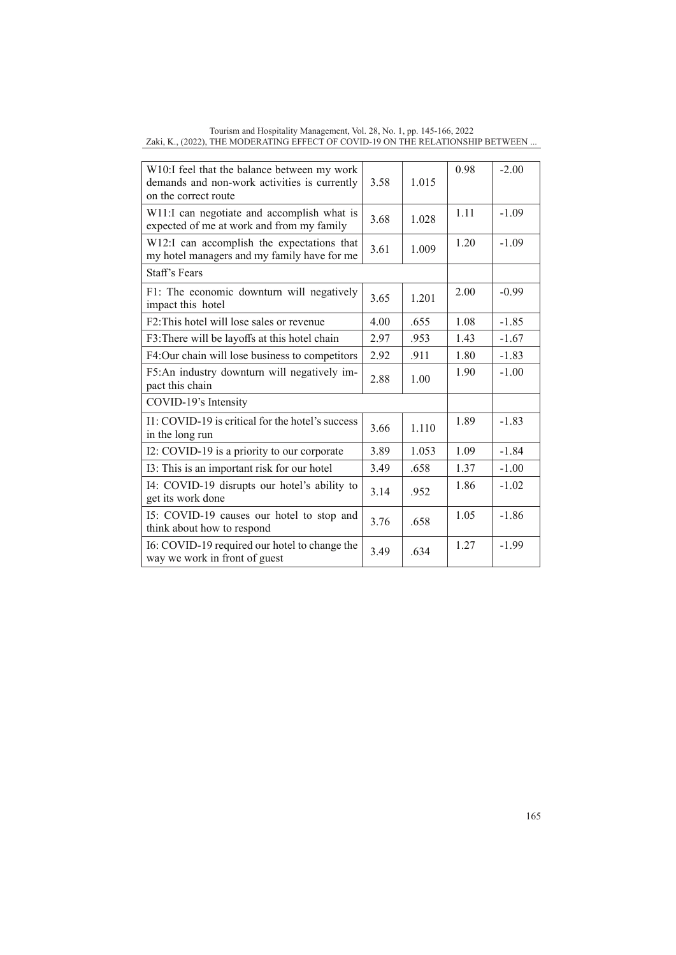| 3.58                                       | 1.015 | 0.98 | $-2.00$ |
|--------------------------------------------|-------|------|---------|
| 3.68                                       | 1.028 | 1.11 | $-1.09$ |
| 3.61                                       | 1.009 | 1.20 | $-1.09$ |
|                                            |       |      |         |
| 3.65                                       | 1.201 | 2.00 | $-0.99$ |
| 4.00                                       | .655  | 1.08 | $-1.85$ |
| 2.97                                       | .953  | 1.43 | $-1.67$ |
| 2.92                                       | .911  | 1.80 | $-1.83$ |
| 2.88                                       | 1.00  | 1.90 | $-1.00$ |
|                                            |       |      |         |
| 3.66                                       | 1.110 | 1.89 | $-1.83$ |
| 3.89                                       | 1.053 | 1.09 | $-1.84$ |
| 3.49                                       | .658  | 1.37 | $-1.00$ |
| 3.14                                       | .952  | 1.86 | $-1.02$ |
| 3.76                                       | .658  | 1.05 | $-1.86$ |
| 3.49                                       | .634  | 1.27 | $-1.99$ |
| W11:I can negotiate and accomplish what is |       |      |         |

Tourism and Hospitality Management, Vol. 28, No. 1, pp. 145-166, 2022 Zaki, K., (2022), THE MODERATING EFFECT OF COVID-19 ON THE RELATIONSHIP BETWEEN ...